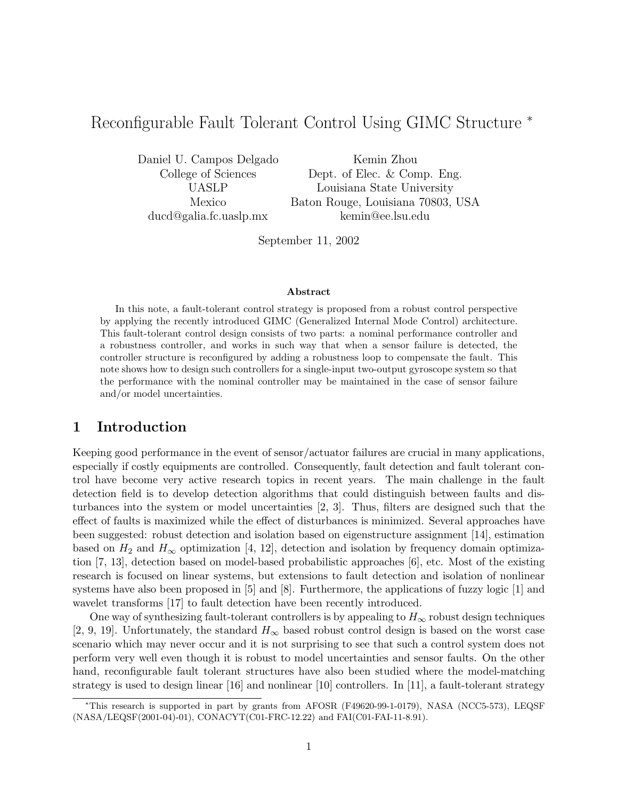# Reconfigurable Fault Tolerant Control Using GIMC Structure <sup>∗</sup>

Daniel U. Campos Delgado Kemin Zhou

College of Sciences Dept. of Elec. & Comp. Eng. UASLP Louisiana State University Mexico Baton Rouge, Louisiana 70803, USA ducd@galia.fc.uaslp.mx kemin@ee.lsu.edu

September 11, 2002

#### **Abstract**

In this note, a fault-tolerant control strategy is proposed from a robust control perspective by applying the recently introduced GIMC (Generalized Internal Mode Control) architecture. This fault-tolerant control design consists of two parts: a nominal performance controller and a robustness controller, and works in such way that when a sensor failure is detected, the controller structure is reconfigured by adding a robustness loop to compensate the fault. This note shows how to design such controllers for a single-input two-output gyroscope system so that the performance with the nominal controller may be maintained in the case of sensor failure and/or model uncertainties.

# **1 Introduction**

Keeping good performance in the event of sensor/actuator failures are crucial in many applications, especially if costly equipments are controlled. Consequently, fault detection and fault tolerant control have become very active research topics in recent years. The main challenge in the fault detection field is to develop detection algorithms that could distinguish between faults and disturbances into the system or model uncertainties [2, 3]. Thus, filters are designed such that the effect of faults is maximized while the effect of disturbances is minimized. Several approaches have been suggested: robust detection and isolation based on eigenstructure assignment [14], estimation based on  $H_2$  and  $H_{\infty}$  optimization [4, 12], detection and isolation by frequency domain optimization [7, 13], detection based on model-based probabilistic approaches [6], etc. Most of the existing research is focused on linear systems, but extensions to fault detection and isolation of nonlinear systems have also been proposed in [5] and [8]. Furthermore, the applications of fuzzy logic [1] and wavelet transforms [17] to fault detection have been recently introduced.

One way of synthesizing fault-tolerant controllers is by appealing to  $H_{\infty}$  robust design techniques [2, 9, 19]. Unfortunately, the standard  $H_{\infty}$  based robust control design is based on the worst case scenario which may never occur and it is not surprising to see that such a control system does not perform very well even though it is robust to model uncertainties and sensor faults. On the other hand, reconfigurable fault tolerant structures have also been studied where the model-matching strategy is used to design linear [16] and nonlinear [10] controllers. In [11], a fault-tolerant strategy

<sup>∗</sup>This research is supported in part by grants from AFOSR (F49620-99-1-0179), NASA (NCC5-573), LEQSF (NASA/LEQSF(2001-04)-01), CONACYT(C01-FRC-12.22) and FAI(C01-FAI-11-8.91).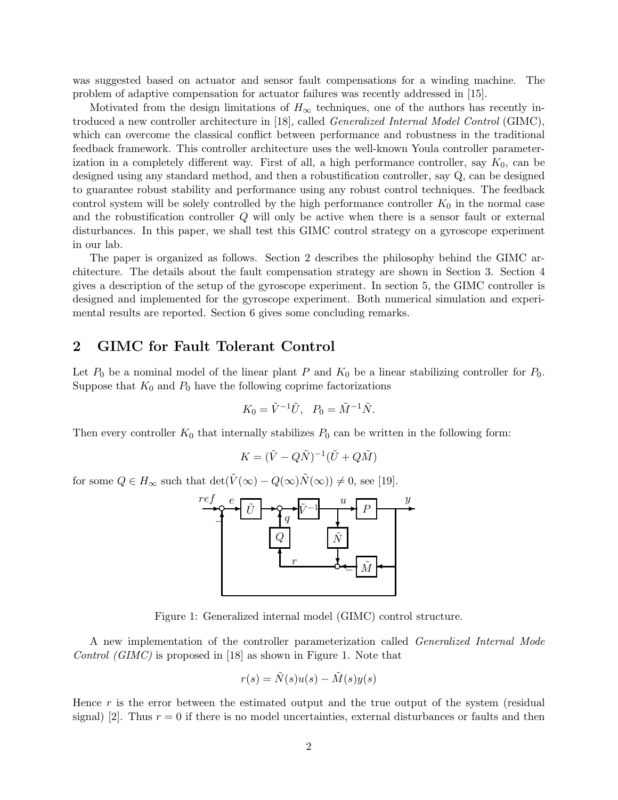was suggested based on actuator and sensor fault compensations for a winding machine. The problem of adaptive compensation for actuator failures was recently addressed in [15].

Motivated from the design limitations of  $H_{\infty}$  techniques, one of the authors has recently introduced a new controller architecture in [18], called Generalized Internal Model Control (GIMC), which can overcome the classical conflict between performance and robustness in the traditional feedback framework. This controller architecture uses the well-known Youla controller parameterization in a completely different way. First of all, a high performance controller, say  $K_0$ , can be designed using any standard method, and then a robustification controller, say Q, can be designed to guarantee robust stability and performance using any robust control techniques. The feedback control system will be solely controlled by the high performance controller  $K_0$  in the normal case and the robustification controller Q will only be active when there is a sensor fault or external disturbances. In this paper, we shall test this GIMC control strategy on a gyroscope experiment in our lab.

The paper is organized as follows. Section 2 describes the philosophy behind the GIMC architecture. The details about the fault compensation strategy are shown in Section 3. Section 4 gives a description of the setup of the gyroscope experiment. In section 5, the GIMC controller is designed and implemented for the gyroscope experiment. Both numerical simulation and experimental results are reported. Section 6 gives some concluding remarks.

# **2 GIMC for Fault Tolerant Control**

Let  $P_0$  be a nominal model of the linear plant P and  $K_0$  be a linear stabilizing controller for  $P_0$ . Suppose that  $K_0$  and  $P_0$  have the following coprime factorizations

$$
K_0 = \tilde{V}^{-1}\tilde{U}, \quad P_0 = \tilde{M}^{-1}\tilde{N}.
$$

Then every controller  $K_0$  that internally stabilizes  $P_0$  can be written in the following form:

$$
K = (\tilde{V} - Q\tilde{N})^{-1}(\tilde{U} + Q\tilde{M})
$$

for some  $Q \in H_{\infty}$  such that  $\det(\tilde{V}(\infty) - Q(\infty)\tilde{N}(\infty)) \neq 0$ , see [19].



Figure 1: Generalized internal model (GIMC) control structure.

A new implementation of the controller parameterization called Generalized Internal Mode Control (GIMC) is proposed in [18] as shown in Figure 1. Note that

$$
r(s) = \tilde{N}(s)u(s) - \tilde{M}(s)y(s)
$$

Hence  $r$  is the error between the estimated output and the true output of the system (residual signal) [2]. Thus  $r = 0$  if there is no model uncertainties, external disturbances or faults and then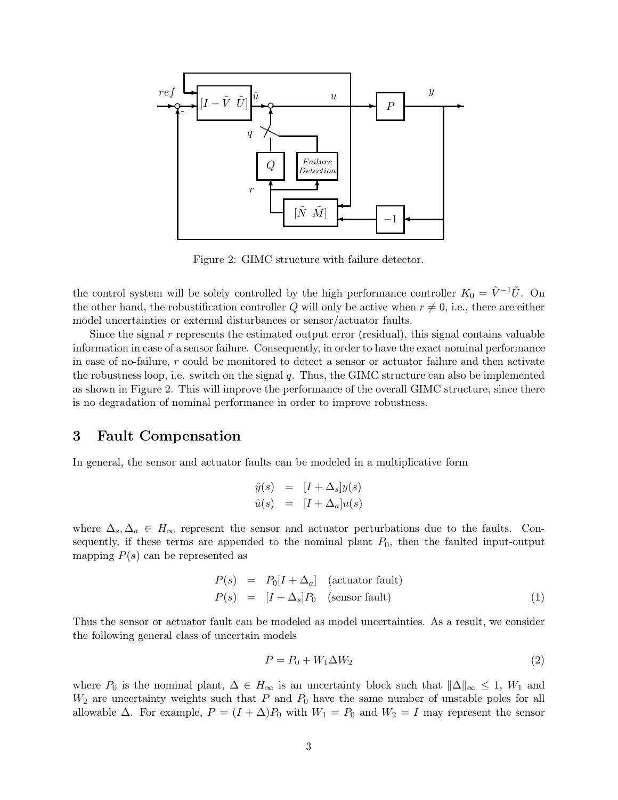

Figure 2: GIMC structure with failure detector.

the control system will be solely controlled by the high performance controller  $K_0 = \tilde{V}^{-1}\tilde{U}$ . On the other hand, the robustification controller Q will only be active when  $r \neq 0$ , i.e., there are either model uncertainties or external disturbances or sensor/actuator faults.

Since the signal r represents the estimated output error (residual), this signal contains valuable information in case of a sensor failure. Consequently, in order to have the exact nominal performance in case of no-failure, r could be monitored to detect a sensor or actuator failure and then activate the robustness loop, i.e. switch on the signal  $q$ . Thus, the GIMC structure can also be implemented as shown in Figure 2. This will improve the performance of the overall GIMC structure, since there is no degradation of nominal performance in order to improve robustness.

### **3 Fault Compensation**

In general, the sensor and actuator faults can be modeled in a multiplicative form

$$
\hat{y}(s) = [I + \Delta_s]y(s)
$$
  

$$
\hat{u}(s) = [I + \Delta_a]u(s)
$$

where  $\Delta_s$ ,  $\Delta_a \in H_\infty$  represent the sensor and actuator perturbations due to the faults. Consequently, if these terms are appended to the nominal plant  $P_0$ , then the faulted input-output mapping  $P(s)$  can be represented as

$$
P(s) = P_0[I + \Delta_a] \quad \text{(actuator fault)}
$$
  
\n
$$
P(s) = [I + \Delta_s]P_0 \quad \text{(sensor fault)}
$$
\n(1)

Thus the sensor or actuator fault can be modeled as model uncertainties. As a result, we consider the following general class of uncertain models

$$
P = P_0 + W_1 \Delta W_2 \tag{2}
$$

where  $P_0$  is the nominal plant,  $\Delta \in H_{\infty}$  is an uncertainty block such that  $\|\Delta\|_{\infty} \leq 1$ ,  $W_1$  and  $W_2$  are uncertainty weights such that P and  $P_0$  have the same number of unstable poles for all allowable  $\Delta$ . For example,  $P = (I + \Delta)P_0$  with  $W_1 = P_0$  and  $W_2 = I$  may represent the sensor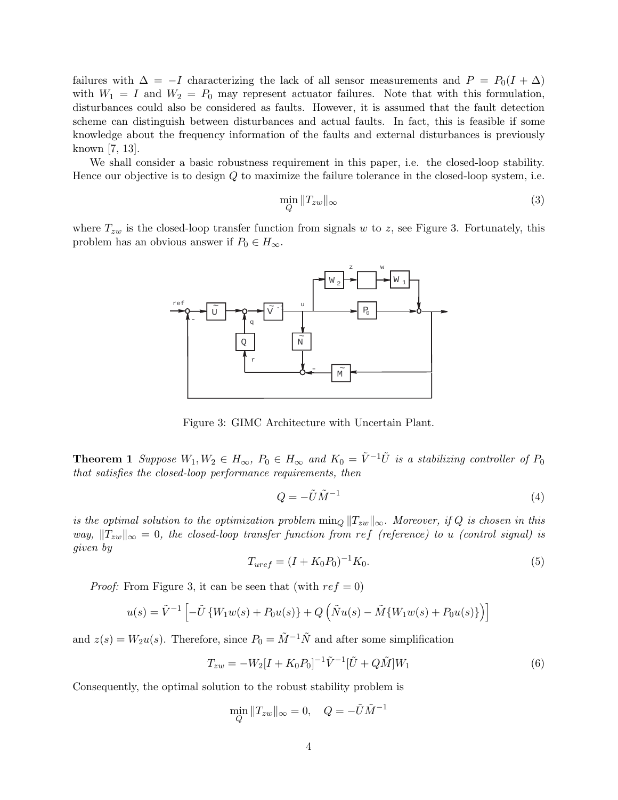failures with  $\Delta = -I$  characterizing the lack of all sensor measurements and  $P = P_0(I + \Delta)$ with  $W_1 = I$  and  $W_2 = P_0$  may represent actuator failures. Note that with this formulation, disturbances could also be considered as faults. However, it is assumed that the fault detection scheme can distinguish between disturbances and actual faults. In fact, this is feasible if some knowledge about the frequency information of the faults and external disturbances is previously known [7, 13].

We shall consider a basic robustness requirement in this paper, i.e. the closed-loop stability. Hence our objective is to design Q to maximize the failure tolerance in the closed-loop system, i.e.

$$
\min_{Q} \|T_{zw}\|_{\infty} \tag{3}
$$

where  $T_{zw}$  is the closed-loop transfer function from signals w to z, see Figure 3. Fortunately, this problem has an obvious answer if  $P_0 \in H_\infty$ .



Figure 3: GIMC Architecture with Uncertain Plant.

**Theorem 1** Suppose  $W_1, W_2 \in H_\infty$ ,  $P_0 \in H_\infty$  and  $K_0 = \tilde{V}^{-1}\tilde{U}$  is a stabilizing controller of  $P_0$ that satisfies the closed-loop performance requirements, then

$$
Q = -\tilde{U}\tilde{M}^{-1} \tag{4}
$$

is the optimal solution to the optimization problem  $\min_{Q} \|T_{zw}\|_{\infty}$ . Moreover, if Q is chosen in this way,  $||T_{zw}||_{\infty} = 0$ , the closed-loop transfer function from ref (reference) to u (control signal) is given by

$$
T_{uref} = (I + K_0 P_0)^{-1} K_0.
$$
\n(5)

*Proof:* From Figure 3, it can be seen that (with  $ref = 0$ )

$$
u(s) = \tilde{V}^{-1} \left[ -\tilde{U} \left\{ W_1 w(s) + P_0 u(s) \right\} + Q \left( \tilde{N} u(s) - \tilde{M} \left\{ W_1 w(s) + P_0 u(s) \right\} \right) \right]
$$

and  $z(s) = W_2u(s)$ . Therefore, since  $P_0 = \tilde{M}^{-1}\tilde{N}$  and after some simplification

$$
T_{zw} = -W_2[I + K_0 P_0]^{-1} \tilde{V}^{-1} [\tilde{U} + Q\tilde{M}] W_1
$$
\n(6)

Consequently, the optimal solution to the robust stability problem is

$$
\min_{Q} \|T_{zw}\|_{\infty} = 0, \quad Q = -\tilde{U}\tilde{M}^{-1}
$$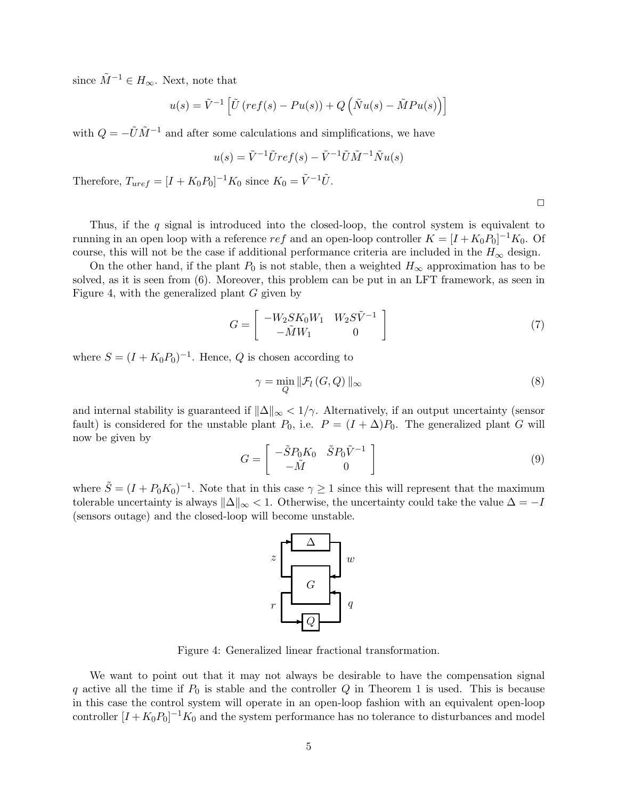since  $\tilde{M}^{-1} \in H_{\infty}$ . Next, note that

$$
u(s) = \tilde{V}^{-1} \left[ \tilde{U} \left( ref(s) - Pu(s) \right) + Q \left( \tilde{N}u(s) - \tilde{M}Pu(s) \right) \right]
$$

with  $Q = -\tilde{U}\tilde{M}^{-1}$  and after some calculations and simplifications, we have

$$
u(s) = \tilde{V}^{-1}\tilde{U}ref(s) - \tilde{V}^{-1}\tilde{U}\tilde{M}^{-1}\tilde{N}u(s)
$$

Therefore,  $T_{uref} = [I + K_0 P_0]^{-1} K_0$  since  $K_0 = \tilde{V}^{-1} \tilde{U}$ .

 $\Box$ 

Thus, if the  $q$  signal is introduced into the closed-loop, the control system is equivalent to running in an open loop with a reference  $ref$  and an open-loop controller  $K = [I + K_0 P_0]^{-1} K_0$ . Of course, this will not be the case if additional performance criteria are included in the  $H_{\infty}$  design.

On the other hand, if the plant  $P_0$  is not stable, then a weighted  $H_{\infty}$  approximation has to be solved, as it is seen from (6). Moreover, this problem can be put in an LFT framework, as seen in Figure 4, with the generalized plant G given by

$$
G = \begin{bmatrix} -W_2 SK_0 W_1 & W_2 S \tilde{V}^{-1} \\ -\tilde{M} W_1 & 0 \end{bmatrix}
$$
\n(7)

where  $S = (I + K_0 P_0)^{-1}$ . Hence, Q is chosen according to

$$
\gamma = \min_{Q} \|\mathcal{F}_l(G, Q)\|_{\infty} \tag{8}
$$

and internal stability is guaranteed if  $\|\Delta\|_{\infty} < 1/\gamma$ . Alternatively, if an output uncertainty (sensor fault) is considered for the unstable plant  $P_0$ , i.e.  $P = (I + \Delta)P_0$ . The generalized plant G will now be given by

$$
G = \begin{bmatrix} -\tilde{S}P_0K_0 & \tilde{S}P_0\tilde{V}^{-1} \\ -\tilde{M} & 0 \end{bmatrix}
$$
 (9)

where  $\tilde{S} = (I + P_0 K_0)^{-1}$ . Note that in this case  $\gamma \ge 1$  since this will represent that the maximum tolerable uncertainty is always  $\|\Delta\|_{\infty}$  < 1. Otherwise, the uncertainty could take the value  $\Delta = -I$ (sensors outage) and the closed-loop will become unstable.



Figure 4: Generalized linear fractional transformation.

We want to point out that it may not always be desirable to have the compensation signal q active all the time if  $P_0$  is stable and the controller Q in Theorem 1 is used. This is because in this case the control system will operate in an open-loop fashion with an equivalent open-loop controller  $[I + K_0 P_0]^{-1} K_0$  and the system performance has no tolerance to disturbances and model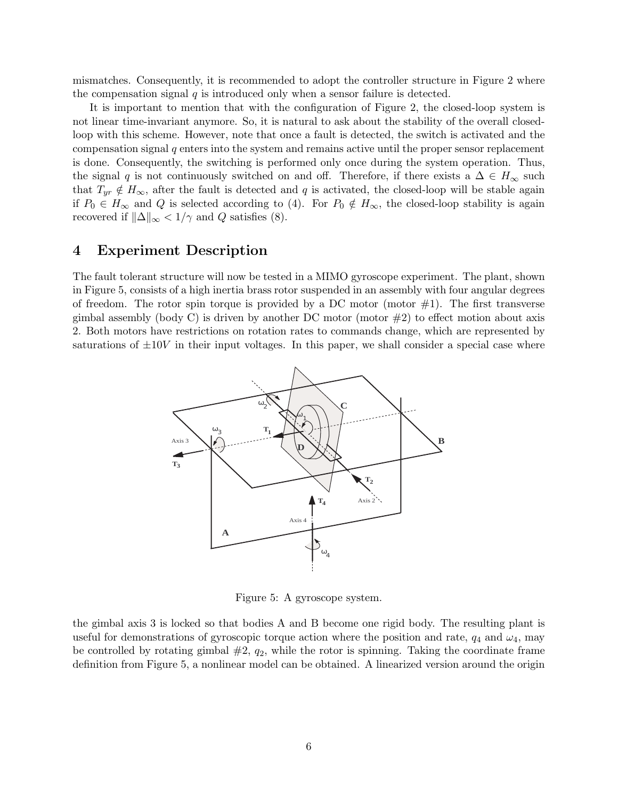mismatches. Consequently, it is recommended to adopt the controller structure in Figure 2 where the compensation signal  $q$  is introduced only when a sensor failure is detected.

It is important to mention that with the configuration of Figure 2, the closed-loop system is not linear time-invariant anymore. So, it is natural to ask about the stability of the overall closedloop with this scheme. However, note that once a fault is detected, the switch is activated and the compensation signal  $q$  enters into the system and remains active until the proper sensor replacement is done. Consequently, the switching is performed only once during the system operation. Thus, the signal q is not continuously switched on and off. Therefore, if there exists a  $\Delta \in H_{\infty}$  such that  $T_{yr} \notin H_{\infty}$ , after the fault is detected and q is activated, the closed-loop will be stable again if  $P_0 \in H_\infty$  and Q is selected according to (4). For  $P_0 \notin H_\infty$ , the closed-loop stability is again recovered if  $\|\Delta\|_{\infty} < 1/\gamma$  and Q satisfies (8).

# **4 Experiment Description**

The fault tolerant structure will now be tested in a MIMO gyroscope experiment. The plant, shown in Figure 5, consists of a high inertia brass rotor suspended in an assembly with four angular degrees of freedom. The rotor spin torque is provided by a DC motor (motor  $\#1$ ). The first transverse gimbal assembly (body C) is driven by another DC motor (motor  $\#2$ ) to effect motion about axis 2. Both motors have restrictions on rotation rates to commands change, which are represented by saturations of  $\pm 10V$  in their input voltages. In this paper, we shall consider a special case where



Figure 5: A gyroscope system.

the gimbal axis 3 is locked so that bodies A and B become one rigid body. The resulting plant is useful for demonstrations of gyroscopic torque action where the position and rate,  $q_4$  and  $\omega_4$ , may be controlled by rotating gimbal  $\#2$ ,  $q_2$ , while the rotor is spinning. Taking the coordinate frame definition from Figure 5, a nonlinear model can be obtained. A linearized version around the origin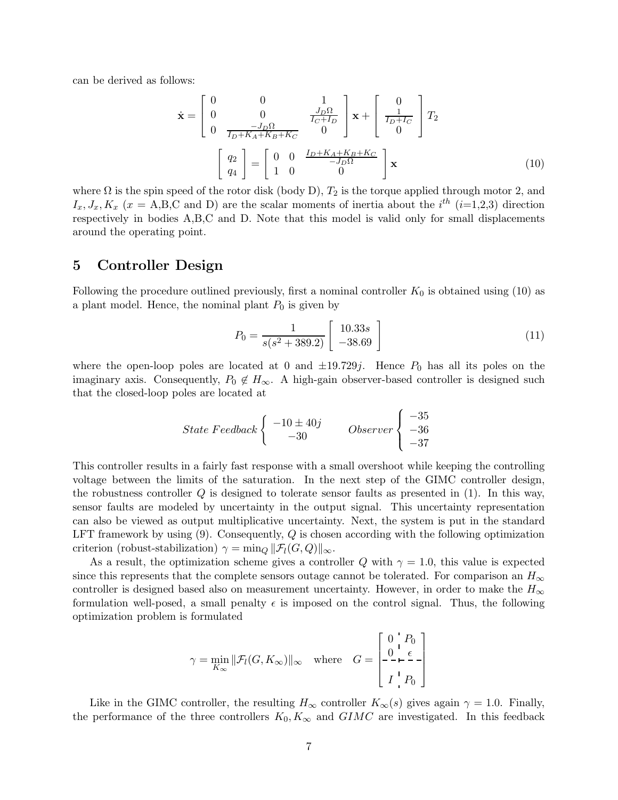can be derived as follows:

$$
\dot{\mathbf{x}} = \begin{bmatrix} 0 & 0 & 1 \\ 0 & 0 & \frac{J_D \Omega}{I_C + I_D} \\ 0 & \frac{-J_D \Omega}{I_D + K_A + K_B + K_C} & 0 \end{bmatrix} \mathbf{x} + \begin{bmatrix} 0 \\ \frac{1}{I_D + I_C} \\ 0 \end{bmatrix} T_2
$$

$$
\begin{bmatrix} q_2 \\ q_4 \end{bmatrix} = \begin{bmatrix} 0 & 0 & \frac{I_D + K_A + K_B + K_C}{-J_D \Omega} \\ 1 & 0 & 0 \end{bmatrix} \mathbf{x}
$$
(10)

where  $\Omega$  is the spin speed of the rotor disk (body D),  $T_2$  is the torque applied through motor 2, and  $I_x, J_x, K_x$  ( $x = A, B, C$  and D) are the scalar moments of inertia about the  $i^{th}$  ( $i=1,2,3$ ) direction respectively in bodies A,B,C and D. Note that this model is valid only for small displacements around the operating point.

#### **5 Controller Design**

Following the procedure outlined previously, first a nominal controller  $K_0$  is obtained using (10) as a plant model. Hence, the nominal plant  $P_0$  is given by

$$
P_0 = \frac{1}{s(s^2 + 389.2)} \begin{bmatrix} 10.33s \\ -38.69 \end{bmatrix}
$$
 (11)

where the open-loop poles are located at 0 and  $\pm 19.729j$ . Hence  $P_0$  has all its poles on the imaginary axis. Consequently,  $P_0 \notin H_\infty$ . A high-gain observer-based controller is designed such that the closed-loop poles are located at

$$
State\,\,Feedback\left\{\begin{array}{cc} -10 \pm 40j \\ -30 \end{array}\right.\quad Observe\,\left\{\begin{array}{c} -35 \\ -36 \\ -37 \end{array}\right.
$$

This controller results in a fairly fast response with a small overshoot while keeping the controlling voltage between the limits of the saturation. In the next step of the GIMC controller design, the robustness controller  $Q$  is designed to tolerate sensor faults as presented in  $(1)$ . In this way, sensor faults are modeled by uncertainty in the output signal. This uncertainty representation can also be viewed as output multiplicative uncertainty. Next, the system is put in the standard LFT framework by using  $(9)$ . Consequently, Q is chosen according with the following optimization criterion (robust-stabilization)  $\gamma = \min_Q ||\mathcal{F}_l(G,Q)||_{\infty}$ .

As a result, the optimization scheme gives a controller Q with  $\gamma = 1.0$ , this value is expected since this represents that the complete sensors outage cannot be tolerated. For comparison an  $H_{\infty}$ controller is designed based also on measurement uncertainty. However, in order to make the  $H_{\infty}$ formulation well-posed, a small penalty  $\epsilon$  is imposed on the control signal. Thus, the following optimization problem is formulated

$$
\gamma = \min_{K_{\infty}} ||\mathcal{F}_l(G, K_{\infty})||_{\infty} \quad \text{where} \quad G = \begin{bmatrix} 0 & P_0 \\ 0 & \epsilon \\ I & P_0 \end{bmatrix}
$$

Like in the GIMC controller, the resulting  $H_{\infty}$  controller  $K_{\infty}(s)$  gives again  $\gamma = 1.0$ . Finally, the performance of the three controllers  $K_0, K_\infty$  and  $GIMC$  are investigated. In this feedback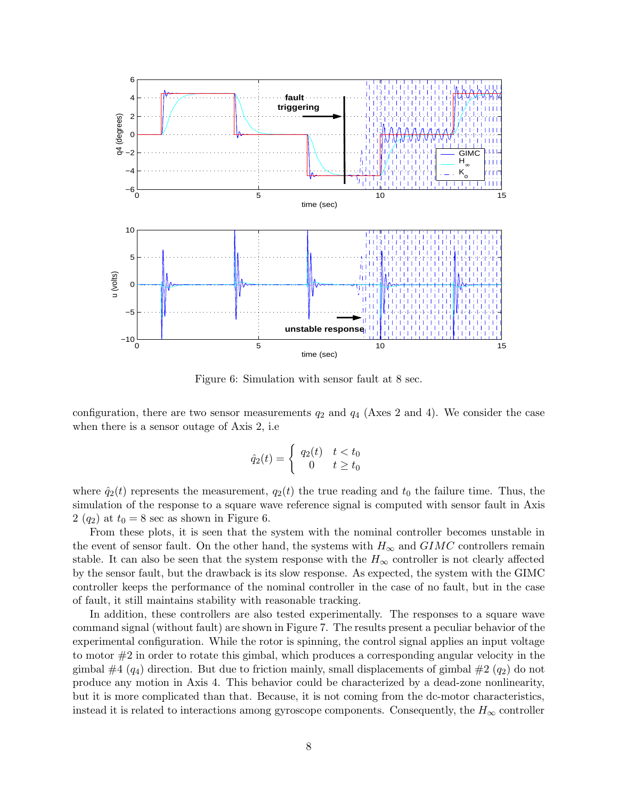

Figure 6: Simulation with sensor fault at 8 sec.

configuration, there are two sensor measurements  $q_2$  and  $q_4$  (Axes 2 and 4). We consider the case when there is a sensor outage of Axis 2, i.e

$$
\hat{q}_2(t) = \begin{cases} q_2(t) & t < t_0 \\ 0 & t \ge t_0 \end{cases}
$$

where  $\hat{q}_2(t)$  represents the measurement,  $q_2(t)$  the true reading and  $t_0$  the failure time. Thus, the simulation of the response to a square wave reference signal is computed with sensor fault in Axis  $2 (q_2)$  at  $t_0 = 8$  sec as shown in Figure 6.

From these plots, it is seen that the system with the nominal controller becomes unstable in the event of sensor fault. On the other hand, the systems with  $H_{\infty}$  and  $GIMC$  controllers remain stable. It can also be seen that the system response with the  $H_{\infty}$  controller is not clearly affected by the sensor fault, but the drawback is its slow response. As expected, the system with the GIMC controller keeps the performance of the nominal controller in the case of no fault, but in the case of fault, it still maintains stability with reasonable tracking.

In addition, these controllers are also tested experimentally. The responses to a square wave command signal (without fault) are shown in Figure 7. The results present a peculiar behavior of the experimental configuration. While the rotor is spinning, the control signal applies an input voltage to motor #2 in order to rotate this gimbal, which produces a corresponding angular velocity in the gimbal  $\#4$  ( $q_4$ ) direction. But due to friction mainly, small displacements of gimbal  $\#2$  ( $q_2$ ) do not produce any motion in Axis 4. This behavior could be characterized by a dead-zone nonlinearity, but it is more complicated than that. Because, it is not coming from the dc-motor characteristics, instead it is related to interactions among gyroscope components. Consequently, the  $H_{\infty}$  controller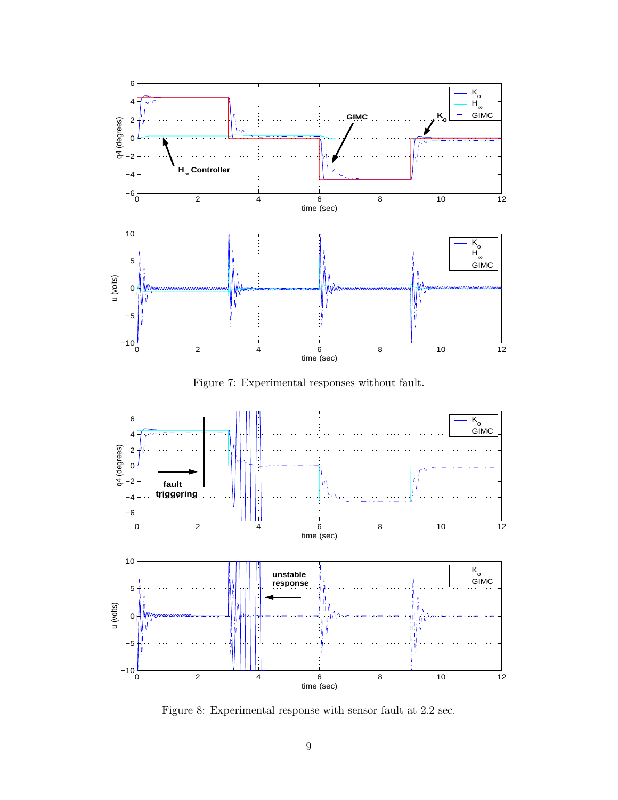

Figure 7: Experimental responses without fault.



Figure 8: Experimental response with sensor fault at 2.2 sec.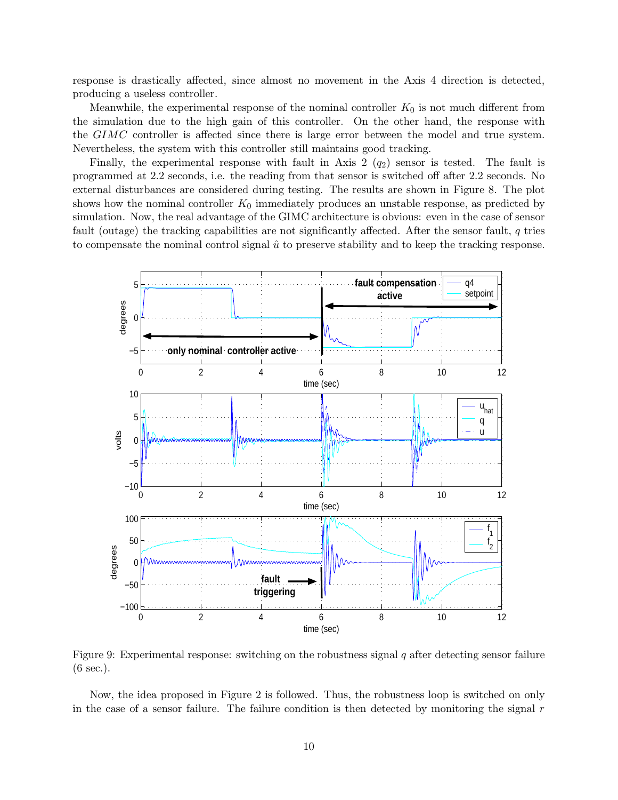response is drastically affected, since almost no movement in the Axis 4 direction is detected, producing a useless controller.

Meanwhile, the experimental response of the nominal controller  $K_0$  is not much different from the simulation due to the high gain of this controller. On the other hand, the response with the GIMC controller is affected since there is large error between the model and true system. Nevertheless, the system with this controller still maintains good tracking.

Finally, the experimental response with fault in Axis 2  $(q_2)$  sensor is tested. The fault is programmed at 2.2 seconds, i.e. the reading from that sensor is switched off after 2.2 seconds. No external disturbances are considered during testing. The results are shown in Figure 8. The plot shows how the nominal controller  $K_0$  immediately produces an unstable response, as predicted by simulation. Now, the real advantage of the GIMC architecture is obvious: even in the case of sensor fault (outage) the tracking capabilities are not significantly affected. After the sensor fault, q tries to compensate the nominal control signal  $\hat{u}$  to preserve stability and to keep the tracking response.



Figure 9: Experimental response: switching on the robustness signal  $q$  after detecting sensor failure (6 sec.).

Now, the idea proposed in Figure 2 is followed. Thus, the robustness loop is switched on only in the case of a sensor failure. The failure condition is then detected by monitoring the signal  $r$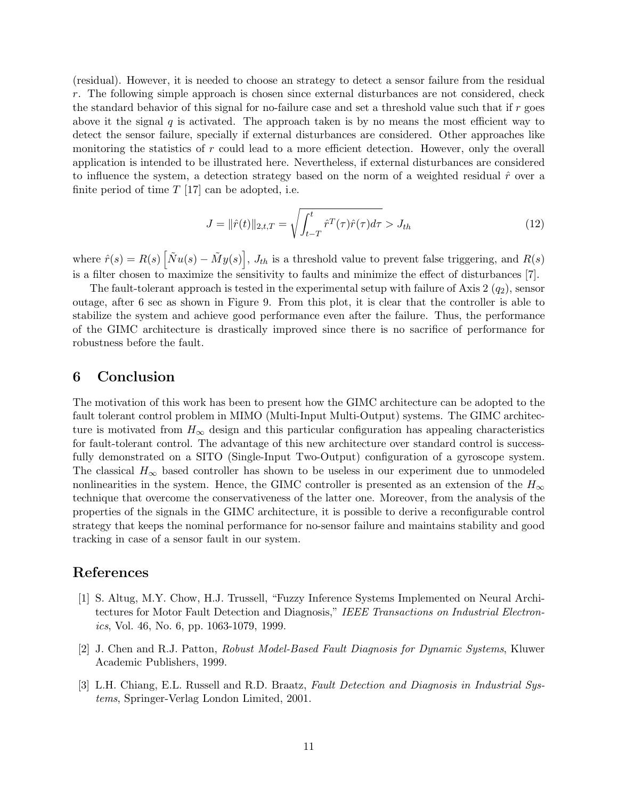(residual). However, it is needed to choose an strategy to detect a sensor failure from the residual r. The following simple approach is chosen since external disturbances are not considered, check the standard behavior of this signal for no-failure case and set a threshold value such that if  $r$  goes above it the signal  $q$  is activated. The approach taken is by no means the most efficient way to detect the sensor failure, specially if external disturbances are considered. Other approaches like monitoring the statistics of  $r$  could lead to a more efficient detection. However, only the overall application is intended to be illustrated here. Nevertheless, if external disturbances are considered to influence the system, a detection strategy based on the norm of a weighted residual  $\hat{r}$  over a finite period of time  $T$  [17] can be adopted, i.e.

$$
J = \|\hat{r}(t)\|_{2,t,T} = \sqrt{\int_{t-T}^{t} \hat{r}^T(\tau)\hat{r}(\tau)d\tau} > J_{th}
$$
\n(12)

where  $\hat{r}(s) = R(s) \left[ \tilde{N}u(s) - \tilde{M}y(s) \right], J_{th}$  is a threshold value to prevent false triggering, and  $R(s)$ is a filter chosen to maximize the sensitivity to faults and minimize the effect of disturbances [7].

The fault-tolerant approach is tested in the experimental setup with failure of Axis  $2(q_2)$ , sensor outage, after 6 sec as shown in Figure 9. From this plot, it is clear that the controller is able to stabilize the system and achieve good performance even after the failure. Thus, the performance of the GIMC architecture is drastically improved since there is no sacrifice of performance for robustness before the fault.

# **6 Conclusion**

The motivation of this work has been to present how the GIMC architecture can be adopted to the fault tolerant control problem in MIMO (Multi-Input Multi-Output) systems. The GIMC architecture is motivated from  $H_{\infty}$  design and this particular configuration has appealing characteristics for fault-tolerant control. The advantage of this new architecture over standard control is successfully demonstrated on a SITO (Single-Input Two-Output) configuration of a gyroscope system. The classical  $H_{\infty}$  based controller has shown to be useless in our experiment due to unmodeled nonlinearities in the system. Hence, the GIMC controller is presented as an extension of the  $H_{\infty}$ technique that overcome the conservativeness of the latter one. Moreover, from the analysis of the properties of the signals in the GIMC architecture, it is possible to derive a reconfigurable control strategy that keeps the nominal performance for no-sensor failure and maintains stability and good tracking in case of a sensor fault in our system.

## **References**

- [1] S. Altug, M.Y. Chow, H.J. Trussell, "Fuzzy Inference Systems Implemented on Neural Architectures for Motor Fault Detection and Diagnosis," IEEE Transactions on Industrial Electronics, Vol. 46, No. 6, pp. 1063-1079, 1999.
- [2] J. Chen and R.J. Patton, Robust Model-Based Fault Diagnosis for Dynamic Systems, Kluwer Academic Publishers, 1999.
- [3] L.H. Chiang, E.L. Russell and R.D. Braatz, Fault Detection and Diagnosis in Industrial Systems, Springer-Verlag London Limited, 2001.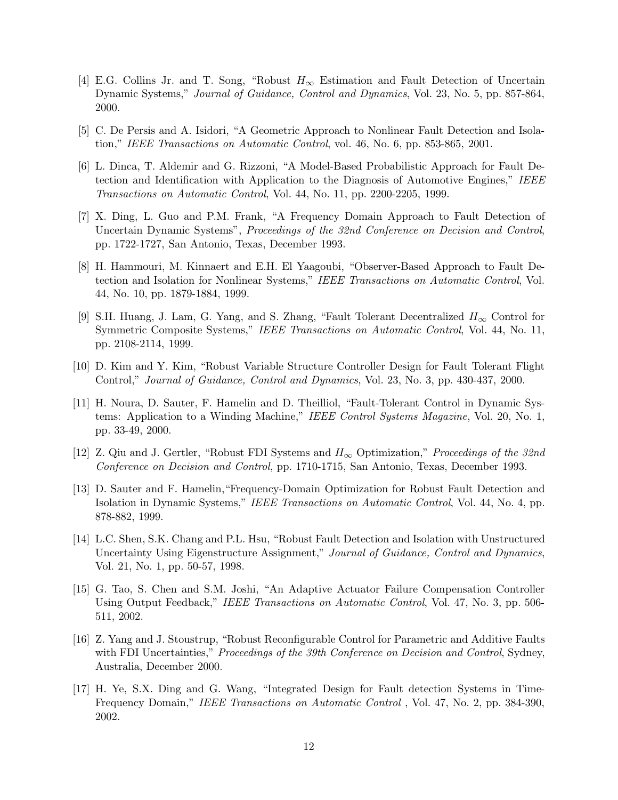- [4] E.G. Collins Jr. and T. Song, "Robust  $H_{\infty}$  Estimation and Fault Detection of Uncertain Dynamic Systems," Journal of Guidance, Control and Dynamics, Vol. 23, No. 5, pp. 857-864, 2000.
- [5] C. De Persis and A. Isidori, "A Geometric Approach to Nonlinear Fault Detection and Isolation," IEEE Transactions on Automatic Control, vol. 46, No. 6, pp. 853-865, 2001.
- [6] L. Dinca, T. Aldemir and G. Rizzoni, "A Model-Based Probabilistic Approach for Fault Detection and Identification with Application to the Diagnosis of Automotive Engines," IEEE Transactions on Automatic Control, Vol. 44, No. 11, pp. 2200-2205, 1999.
- [7] X. Ding, L. Guo and P.M. Frank, "A Frequency Domain Approach to Fault Detection of Uncertain Dynamic Systems", Proceedings of the 32nd Conference on Decision and Control, pp. 1722-1727, San Antonio, Texas, December 1993.
- [8] H. Hammouri, M. Kinnaert and E.H. El Yaagoubi, "Observer-Based Approach to Fault Detection and Isolation for Nonlinear Systems," IEEE Transactions on Automatic Control, Vol. 44, No. 10, pp. 1879-1884, 1999.
- [9] S.H. Huang, J. Lam, G. Yang, and S. Zhang, "Fault Tolerant Decentralized  $H_{\infty}$  Control for Symmetric Composite Systems," IEEE Transactions on Automatic Control, Vol. 44, No. 11, pp. 2108-2114, 1999.
- [10] D. Kim and Y. Kim, "Robust Variable Structure Controller Design for Fault Tolerant Flight Control," Journal of Guidance, Control and Dynamics, Vol. 23, No. 3, pp. 430-437, 2000.
- [11] H. Noura, D. Sauter, F. Hamelin and D. Theilliol, "Fault-Tolerant Control in Dynamic Systems: Application to a Winding Machine," IEEE Control Systems Magazine, Vol. 20, No. 1, pp. 33-49, 2000.
- [12] Z. Qiu and J. Gertler, "Robust FDI Systems and  $H_{\infty}$  Optimization," Proceedings of the 32nd Conference on Decision and Control, pp. 1710-1715, San Antonio, Texas, December 1993.
- [13] D. Sauter and F. Hamelin,"Frequency-Domain Optimization for Robust Fault Detection and Isolation in Dynamic Systems," IEEE Transactions on Automatic Control, Vol. 44, No. 4, pp. 878-882, 1999.
- [14] L.C. Shen, S.K. Chang and P.L. Hsu, "Robust Fault Detection and Isolation with Unstructured Uncertainty Using Eigenstructure Assignment," Journal of Guidance, Control and Dynamics, Vol. 21, No. 1, pp. 50-57, 1998.
- [15] G. Tao, S. Chen and S.M. Joshi, "An Adaptive Actuator Failure Compensation Controller Using Output Feedback," IEEE Transactions on Automatic Control, Vol. 47, No. 3, pp. 506- 511, 2002.
- [16] Z. Yang and J. Stoustrup, "Robust Reconfigurable Control for Parametric and Additive Faults with FDI Uncertainties," *Proceedings of the 39th Conference on Decision and Control*, Sydney, Australia, December 2000.
- [17] H. Ye, S.X. Ding and G. Wang, "Integrated Design for Fault detection Systems in Time-Frequency Domain," IEEE Transactions on Automatic Control , Vol. 47, No. 2, pp. 384-390, 2002.